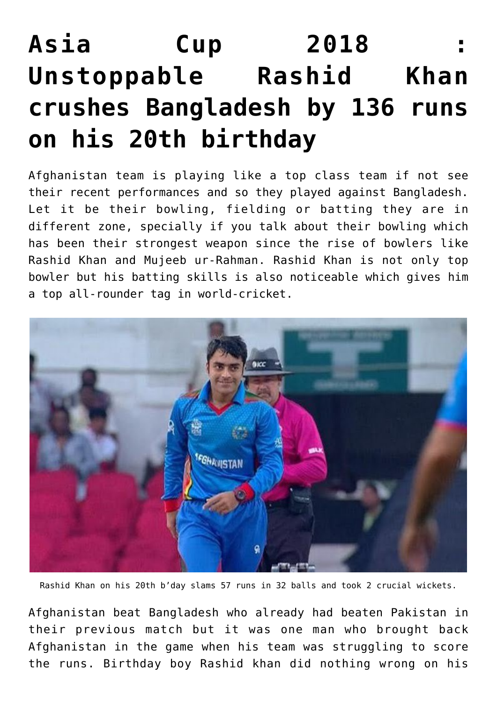## **[Asia Cup 2018 :](https://www.sportstakis.com/bangladesh-vs-afghanistan-6th-match-group-b-asia-cup-2018/) [Unstoppable Rashid Khan](https://www.sportstakis.com/bangladesh-vs-afghanistan-6th-match-group-b-asia-cup-2018/) [crushes Bangladesh by 136 runs](https://www.sportstakis.com/bangladesh-vs-afghanistan-6th-match-group-b-asia-cup-2018/) [on his 20th birthday](https://www.sportstakis.com/bangladesh-vs-afghanistan-6th-match-group-b-asia-cup-2018/)**

Afghanistan team is playing like a top class team if not see their recent performances and so they played against Bangladesh. Let it be their bowling, fielding or batting they are in different zone, specially if you talk about their bowling which has been their strongest weapon since the rise of bowlers like Rashid Khan and Mujeeb ur-Rahman. Rashid Khan is not only top bowler but his batting skills is also noticeable which gives him a top all-rounder tag in world-cricket.



Rashid Khan on his 20th b'day slams 57 runs in 32 balls and took 2 crucial wickets.

Afghanistan beat Bangladesh who already had beaten Pakistan in their previous match but it was one man who brought back Afghanistan in the game when his team was struggling to score the runs. Birthday boy Rashid khan did nothing wrong on his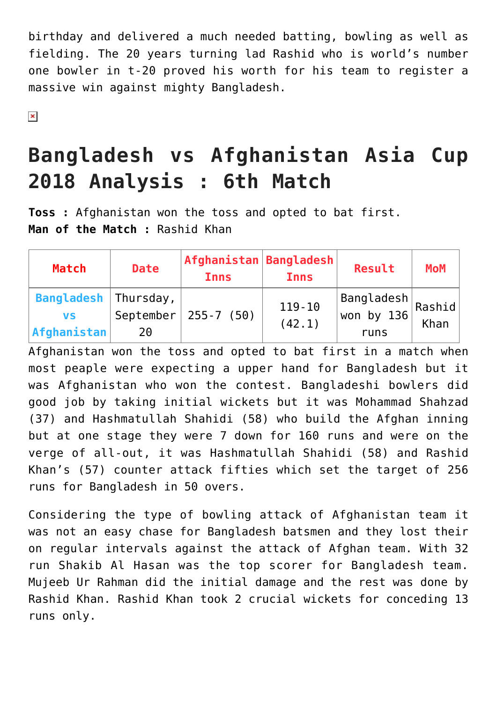birthday and delivered a much needed batting, bowling as well as fielding. The 20 years turning lad Rashid who is world's number one bowler in t-20 proved his worth for his team to register a massive win against mighty Bangladesh.

 $\pmb{\times}$ 

## **Bangladesh vs Afghanistan Asia Cup 2018 Analysis : 6th Match**

**Toss :** Afghanistan won the toss and opted to bat first. **Man of the Match :** Rashid Khan

| <b>Match</b>                                               | <b>Date</b>         | $ $ Afghanistan $ $ Bangladesh $ $<br><b>Inns</b> | <b>Inns</b>          | Result                                         | <b>MoM</b>     |
|------------------------------------------------------------|---------------------|---------------------------------------------------|----------------------|------------------------------------------------|----------------|
| <b>Bangladesh</b>   Thursday,<br><b>VS</b><br> Afghanistan | September $ $<br>20 | $255 - 7$ (50)                                    | $119 - 10$<br>(42.1) | $ \mathsf{BangLadesh} \$<br>won by 136<br>runs | Rashid<br>Khan |

Afghanistan won the toss and opted to bat first in a match when most peaple were expecting a upper hand for Bangladesh but it was Afghanistan who won the contest. Bangladeshi bowlers did good job by taking initial wickets but it was Mohammad Shahzad (37) and Hashmatullah Shahidi (58) who build the Afghan inning but at one stage they were 7 down for 160 runs and were on the verge of all-out, it was Hashmatullah Shahidi (58) and Rashid Khan's (57) counter attack fifties which set the target of 256 runs for Bangladesh in 50 overs.

Considering the type of bowling attack of Afghanistan team it was not an easy chase for Bangladesh batsmen and they lost their on regular intervals against the attack of Afghan team. With 32 run Shakib Al Hasan was the top scorer for Bangladesh team. Mujeeb Ur Rahman did the initial damage and the rest was done by Rashid Khan. Rashid Khan took 2 crucial wickets for conceding 13 runs only.